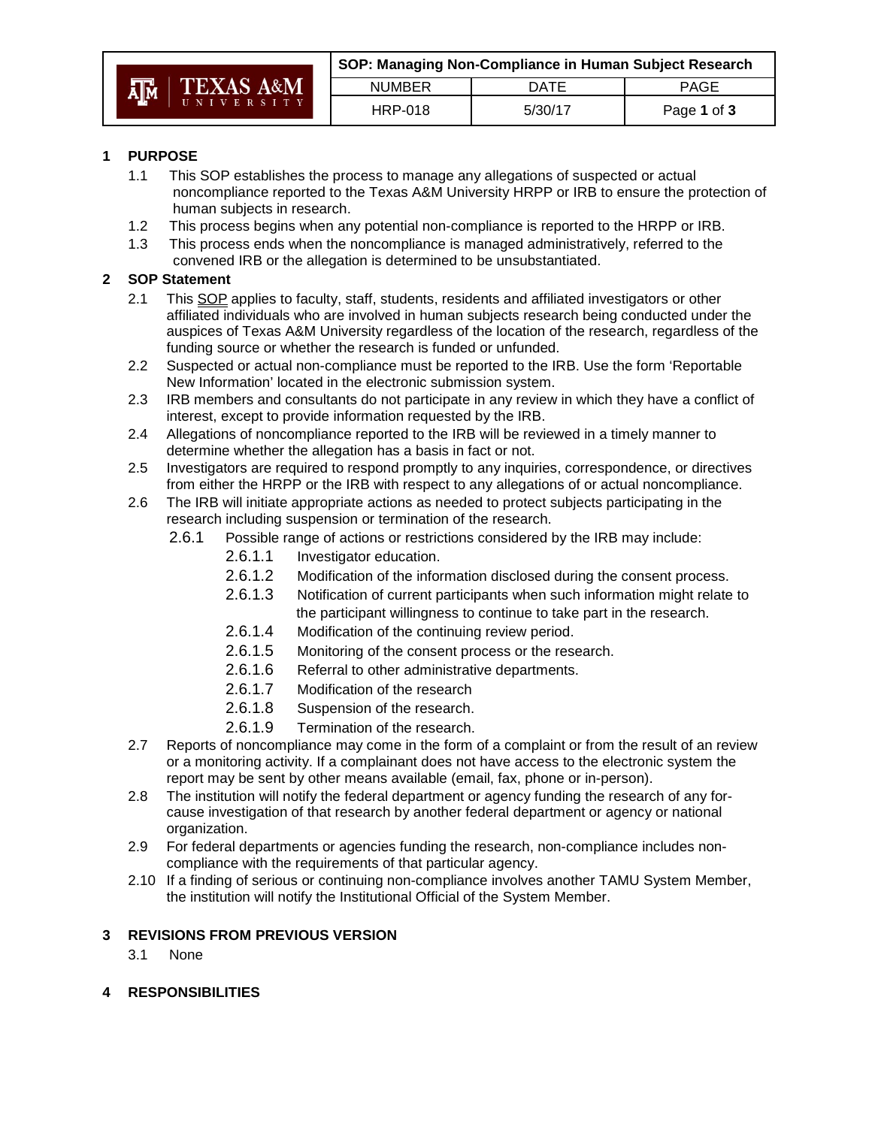|    |                                     | SOP: Managing Non-Compliance in Human Subject Research |         |             |
|----|-------------------------------------|--------------------------------------------------------|---------|-------------|
| AM | $\parallel$ TEXAS A&M<br>UNIVERSITY | <b>NUMBER</b>                                          | DATF    | PAGE        |
|    |                                     | HRP-018                                                | 5/30/17 | Page 1 of 3 |

# **1 PURPOSE**

- 1.1 This SOP establishes the process to manage any allegations of suspected or actual noncompliance reported to the Texas A&M University HRPP or IRB to ensure the protection of human subjects in research.
- 1.2 This process begins when any potential non-compliance is reported to the HRPP or IRB.
- 1.3 This process ends when the noncompliance is managed administratively, referred to the convened IRB or the allegation is determined to be unsubstantiated.

# **2 SOP Statement**

- 2.1 This SOP applies to faculty, staff, students, residents and affiliated investigators or other affiliated individuals who are involved in human subjects research being conducted under the auspices of Texas A&M University regardless of the location of the research, regardless of the funding source or whether the research is funded or unfunded.
- 2.2 Suspected or actual non-compliance must be reported to the IRB. Use the form 'Reportable New Information' located in the electronic submission system.
- 2.3 IRB members and consultants do not participate in any review in which they have a conflict of interest, except to provide information requested by the IRB.
- 2.4 Allegations of noncompliance reported to the IRB will be reviewed in a timely manner to determine whether the allegation has a basis in fact or not.
- 2.5 Investigators are required to respond promptly to any inquiries, correspondence, or directives from either the HRPP or the IRB with respect to any allegations of or actual noncompliance.
- 2.6 The IRB will initiate appropriate actions as needed to protect subjects participating in the research including suspension or termination of the research.
	- 2.6.1 Possible range of actions or restrictions considered by the IRB may include:
		- 2.6.1.1 Investigator education.
		- 2.6.1.2 Modification of the information disclosed during the consent process.
		- 2.6.1.3 Notification of current participants when such information might relate to the participant willingness to continue to take part in the research.
		- 2.6.1.4 Modification of the continuing review period.
		- 2.6.1.5 Monitoring of the consent process or the research.
		- 2.6.1.6 Referral to other administrative departments.
		- 2.6.1.7 Modification of the research
		- 2.6.1.8 Suspension of the research.
		- 2.6.1.9 Termination of the research.
- 2.7 Reports of noncompliance may come in the form of a complaint or from the result of an review or a monitoring activity. If a complainant does not have access to the electronic system the report may be sent by other means available (email, fax, phone or in-person).
- 2.8 The institution will notify the federal department or agency funding the research of any forcause investigation of that research by another federal department or agency or national organization.
- 2.9 For federal departments or agencies funding the research, non-compliance includes noncompliance with the requirements of that particular agency.
- 2.10 If a finding of serious or continuing non-compliance involves another TAMU System Member, the institution will notify the Institutional Official of the System Member.

### **3 REVISIONS FROM PREVIOUS VERSION**

- 3.1 None
- **4 RESPONSIBILITIES**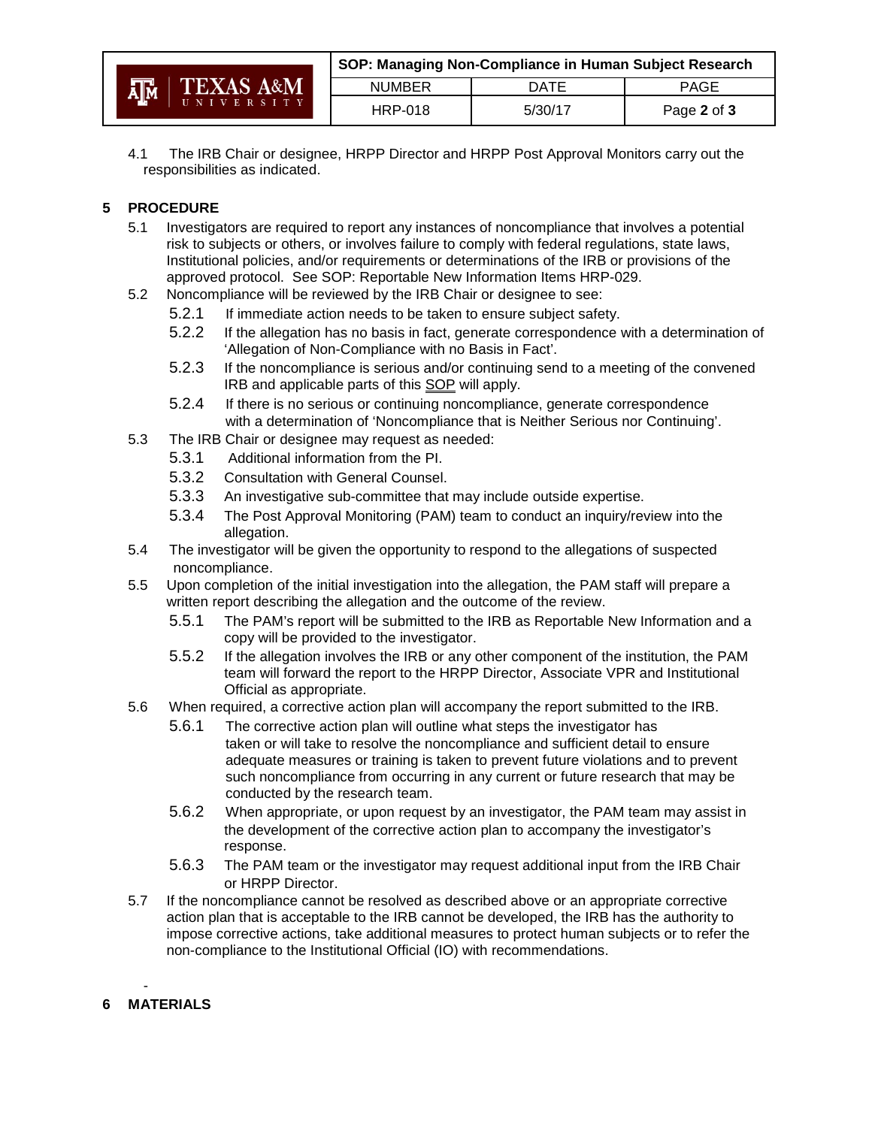|                                               | SOP: Managing Non-Compliance in Human Subject Research |             |             |
|-----------------------------------------------|--------------------------------------------------------|-------------|-------------|
| <b>TEXAS A&amp;M</b><br><b>A<sub>IM</sub></b> | <b>NUMBER</b>                                          | <b>DATE</b> | <b>PAGE</b> |
| UNIVERSITY                                    | <b>HRP-018</b>                                         | 5/30/17     | Page 2 of 3 |

4.1 The IRB Chair or designee, HRPP Director and HRPP Post Approval Monitors carry out the responsibilities as indicated.

# **5 PROCEDURE**

- 5.1 Investigators are required to report any instances of noncompliance that involves a potential risk to subjects or others, or involves failure to comply with federal regulations, state laws, Institutional policies, and/or requirements or determinations of the IRB or provisions of the approved protocol. See SOP: Reportable New Information Items HRP-029.
- 5.2 Noncompliance will be reviewed by the IRB Chair or designee to see:
	- 5.2.1 If immediate action needs to be taken to ensure subject safety.
	- 5.2.2 If the allegation has no basis in fact, generate correspondence with a determination of 'Allegation of Non-Compliance with no Basis in Fact'.
	- 5.2.3 If the noncompliance is serious and/or continuing send to a meeting of the convened IRB and applicable parts of this SOP will apply.
	- 5.2.4 If there is no serious or continuing noncompliance, generate correspondence with a determination of 'Noncompliance that is Neither Serious nor Continuing'.
- 5.3 The IRB Chair or designee may request as needed:
	- 5.3.1 Additional information from the PI.
	- 5.3.2 Consultation with General Counsel.
	- 5.3.3 An investigative sub-committee that may include outside expertise.
	- 5.3.4 The Post Approval Monitoring (PAM) team to conduct an inquiry/review into the allegation.
- 5.4 The investigator will be given the opportunity to respond to the allegations of suspected noncompliance.
- 5.5 Upon completion of the initial investigation into the allegation, the PAM staff will prepare a written report describing the allegation and the outcome of the review.
	- 5.5.1 The PAM's report will be submitted to the IRB as Reportable New Information and a copy will be provided to the investigator.
	- 5.5.2 If the allegation involves the IRB or any other component of the institution, the PAM team will forward the report to the HRPP Director, Associate VPR and Institutional Official as appropriate.
- 5.6 When required, a corrective action plan will accompany the report submitted to the IRB.
	- 5.6.1 The corrective action plan will outline what steps the investigator has taken or will take to resolve the noncompliance and sufficient detail to ensure adequate measures or training is taken to prevent future violations and to prevent such noncompliance from occurring in any current or future research that may be conducted by the research team.
	- 5.6.2 When appropriate, or upon request by an investigator, the PAM team may assist in the development of the corrective action plan to accompany the investigator's response.
	- 5.6.3 The PAM team or the investigator may request additional input from the IRB Chair or HRPP Director.
- 5.7 If the noncompliance cannot be resolved as described above or an appropriate corrective action plan that is acceptable to the IRB cannot be developed, the IRB has the authority to impose corrective actions, take additional measures to protect human subjects or to refer the non-compliance to the Institutional Official (IO) with recommendations.

#### - **6 MATERIALS**